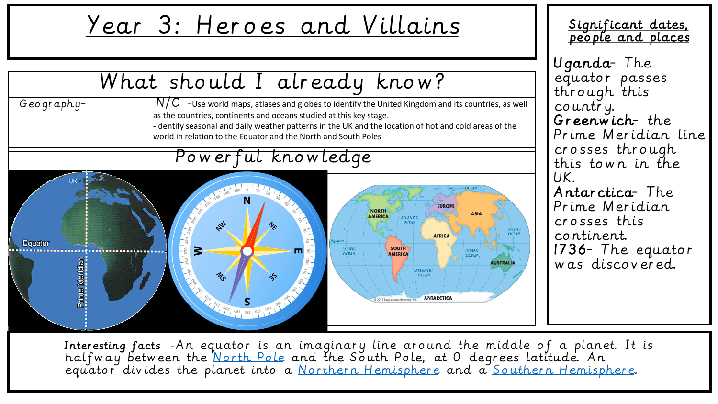## Year 3: Heroes and Villains



Significant dates, people and places

equator passes through this country. Greenwich- the Prime Meridian line crosses through this town in the Antarctica- The Prime Meridian crosses this continent. 1736- The equator was discovered.

Interesting facts -An equator is an imaginary line around the middle of a planet. It is halfway between the [North Pole](https://kidskonnect.com/places/north-pole/) and the South Pole, at 0 degrees latitude. An equator divides the planet into a [Northern Hemisphere](https://kidskonnect.com/geography/northern-hemisphere/) and a [Southern Hemisphere.](https://kidskonnect.com/geography/southern-hemisphere/)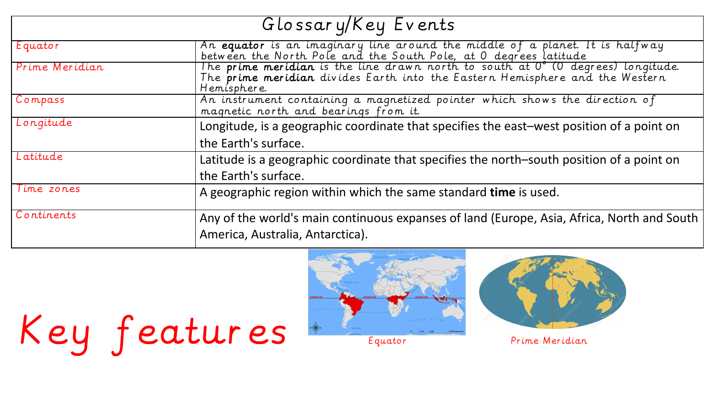| Glossary/Key Events |                                                                                                                                                                                 |  |  |  |  |  |
|---------------------|---------------------------------------------------------------------------------------------------------------------------------------------------------------------------------|--|--|--|--|--|
| Equator             | An equator is an imaginary line around the middle of a planet. It is halfway<br>between the North Pole and the South Pole, at 0 degrees latitude                                |  |  |  |  |  |
| Prime Meridian      | The prime meridian is the line drawn north to south at 0° (0 degrees) longitude.<br>The prime meridian divides Earth into the Eastern Hemisphere and the Western<br>Hemisphere. |  |  |  |  |  |
| Compass             | An instrument containing a magnetized pointer which shows the direction of<br>magnetic north and bearings from it.                                                              |  |  |  |  |  |
| Longitude           | Longitude, is a geographic coordinate that specifies the east-west position of a point on<br>the Earth's surface.                                                               |  |  |  |  |  |
| Latitude            | Latitude is a geographic coordinate that specifies the north-south position of a point on<br>the Earth's surface.                                                               |  |  |  |  |  |
| Time zones          | A geographic region within which the same standard time is used.                                                                                                                |  |  |  |  |  |
| Continents          | Any of the world's main continuous expanses of land (Europe, Asia, Africa, North and South<br>America, Australia, Antarctica).                                                  |  |  |  |  |  |





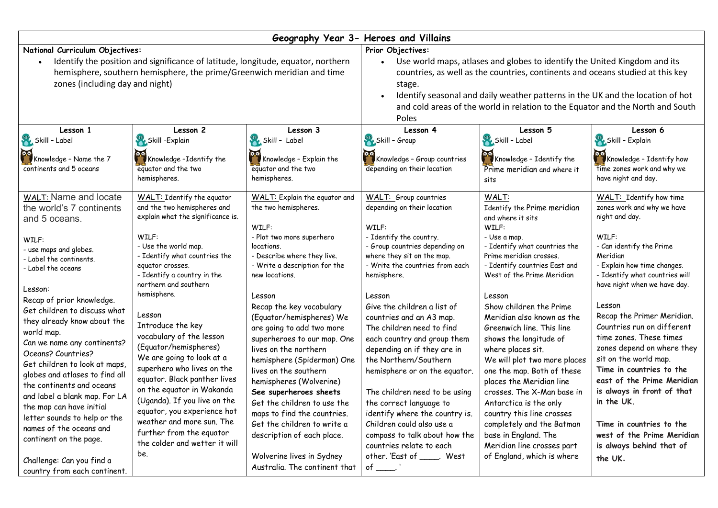| Geography Year 3- Heroes and Villains                                                                                                                                                                                                                                                                                                                                                                                                                                                                                                                                                                                  |                                                                                                                                                                                                                                                                                                                                                                                                                                                                                                                                                                                                                                         |                                                                                                                                                                                                                                                                                                                                                                                                                                                                                                                                                                                                                        |                                                                                                                                                                                                                                                                                                                                                                                                                                                                                                                                                                                                                                                                    |                                                                                                                                                                                                                                                                                                                                                                                                                                                                                                                                                                                                                                                              |                                                                                                                                                                                                                                                                                                                                                                                                                                                                                                                                                                                          |  |  |  |
|------------------------------------------------------------------------------------------------------------------------------------------------------------------------------------------------------------------------------------------------------------------------------------------------------------------------------------------------------------------------------------------------------------------------------------------------------------------------------------------------------------------------------------------------------------------------------------------------------------------------|-----------------------------------------------------------------------------------------------------------------------------------------------------------------------------------------------------------------------------------------------------------------------------------------------------------------------------------------------------------------------------------------------------------------------------------------------------------------------------------------------------------------------------------------------------------------------------------------------------------------------------------------|------------------------------------------------------------------------------------------------------------------------------------------------------------------------------------------------------------------------------------------------------------------------------------------------------------------------------------------------------------------------------------------------------------------------------------------------------------------------------------------------------------------------------------------------------------------------------------------------------------------------|--------------------------------------------------------------------------------------------------------------------------------------------------------------------------------------------------------------------------------------------------------------------------------------------------------------------------------------------------------------------------------------------------------------------------------------------------------------------------------------------------------------------------------------------------------------------------------------------------------------------------------------------------------------------|--------------------------------------------------------------------------------------------------------------------------------------------------------------------------------------------------------------------------------------------------------------------------------------------------------------------------------------------------------------------------------------------------------------------------------------------------------------------------------------------------------------------------------------------------------------------------------------------------------------------------------------------------------------|------------------------------------------------------------------------------------------------------------------------------------------------------------------------------------------------------------------------------------------------------------------------------------------------------------------------------------------------------------------------------------------------------------------------------------------------------------------------------------------------------------------------------------------------------------------------------------------|--|--|--|
| National Curriculum Objectives:<br>Identify the position and significance of latitude, longitude, equator, northern<br>hemisphere, southern hemisphere, the prime/Greenwich meridian and time<br>zones (including day and night)                                                                                                                                                                                                                                                                                                                                                                                       |                                                                                                                                                                                                                                                                                                                                                                                                                                                                                                                                                                                                                                         |                                                                                                                                                                                                                                                                                                                                                                                                                                                                                                                                                                                                                        | Prior Objectives:<br>Use world maps, atlases and globes to identify the United Kingdom and its<br>countries, as well as the countries, continents and oceans studied at this key<br>stage.<br>Identify seasonal and daily weather patterns in the UK and the location of hot<br>and cold areas of the world in relation to the Equator and the North and South<br>Poles                                                                                                                                                                                                                                                                                            |                                                                                                                                                                                                                                                                                                                                                                                                                                                                                                                                                                                                                                                              |                                                                                                                                                                                                                                                                                                                                                                                                                                                                                                                                                                                          |  |  |  |
| Lesson 1<br>Skill - Label<br>Knowledge - Name the 7<br>continents and 5 oceans                                                                                                                                                                                                                                                                                                                                                                                                                                                                                                                                         | Lesson 2<br>Skill -Explain<br>Knowledge-Identify the<br>equator and the two<br>hemispheres.                                                                                                                                                                                                                                                                                                                                                                                                                                                                                                                                             | Lesson 3<br>Skill - Label<br>Knowledge - Explain the<br>equator and the two<br>hemispheres.                                                                                                                                                                                                                                                                                                                                                                                                                                                                                                                            | Lesson 4<br>Skill - Group<br>Knowledge - Group countries<br>depending on their location                                                                                                                                                                                                                                                                                                                                                                                                                                                                                                                                                                            | Lesson 5<br>Skill - Label<br>Knowledge - Identify the<br>Prime meridian and where it<br>sits                                                                                                                                                                                                                                                                                                                                                                                                                                                                                                                                                                 | Lesson 6<br>Skill - Explain<br>Knowledge - Identify how<br>time zones work and why we<br>have night and day.                                                                                                                                                                                                                                                                                                                                                                                                                                                                             |  |  |  |
| <b>WALT: Name and locate</b><br>the world's 7 continents<br>and 5 oceans.<br>WILF:<br>- use maps and globes.<br>- Label the continents.<br>- Label the oceans<br>Lesson:<br>Recap of prior knowledge.<br>Get children to discuss what<br>they already know about the<br>world map.<br>Can we name any continents?<br>Oceans? Countries?<br>Get children to look at maps,<br>globes and atlases to find all<br>the continents and oceans<br>and label a blank map. For LA<br>the map can have initial<br>letter sounds to help or the<br>names of the oceans and<br>continent on the page.<br>Challenge: Can you find a | WALT: Identify the equator<br>and the two hemispheres and<br>explain what the significance is.<br>WILF:<br>- Use the world map.<br>- Identify what countries the<br>equator crosses.<br>- Identify a country in the<br>northern and southern<br>hemisphere.<br>Lesson<br>Introduce the key<br>vocabulary of the lesson<br>(Equator/hemispheres)<br>We are going to look at a<br>superhero who lives on the<br>equator. Black panther lives<br>on the equator in Wakanda<br>(Uganda). If you live on the<br>equator, you experience hot<br>weather and more sun. The<br>further from the equator<br>the colder and wetter it will<br>be. | WALT: Explain the equator and<br>the two hemispheres.<br>WILF:<br>- Plot two more superhero<br>locations.<br>- Describe where they live.<br>- Write a description for the<br>new locations.<br>Lesson<br>Recap the key vocabulary<br>(Equator/hemispheres) We<br>are going to add two more<br>superheroes to our map. One<br>lives on the northern<br>hemisphere (Spiderman) One<br>lives on the southern<br>hemispheres (Wolverine)<br>See superheroes sheets<br>Get the children to use the<br>maps to find the countries.<br>Get the children to write a<br>description of each place.<br>Wolverine lives in Sydney | <b>WALT:</b> Group countries<br>depending on their location<br>WILF:<br>- Identify the country.<br>- Group countries depending on<br>where they sit on the map.<br>- Write the countries from each<br>hemisphere.<br>Lesson<br>Give the children a list of<br>countries and an A3 map.<br>The children need to find<br>each country and group them<br>depending on if they are in<br>the Northern/Southern<br>hemisphere or on the equator.<br>The children need to be using<br>the correct language to<br>identify where the country is.<br>Children could also use a<br>compass to talk about how the<br>countries relate to each<br>other. 'East of _____. West | WALT:<br>Identify the Prime meridian<br>and where it sits<br>WILF:<br>- Use a map.<br>- Identify what countries the<br>Prime meridian crosses.<br>- Identify countries East and<br>West of the Prime Meridian<br>Lesson<br>Show children the Prime<br>Meridian also known as the<br>Greenwich line. This line<br>shows the longitude of<br>where places sit.<br>We will plot two more places<br>one the map. Both of these<br>places the Meridian line<br>crosses. The X-Man base in<br>Antarctica is the only<br>country this line crosses<br>completely and the Batman<br>base in England. The<br>Meridian line crosses part<br>of England, which is where | WALT: Identify how time<br>zones work and why we have<br>night and day.<br>WILF:<br>- Can identify the Prime<br>Meridian<br>- Explain how time changes.<br>- Identify what countries will<br>have night when we have day.<br>Lesson<br>Recap the Primer Meridian.<br>Countries run on different<br>time zones. These times<br>zones depend on where they<br>sit on the world map.<br>Time in countries to the<br>east of the Prime Meridian<br>is always in front of that<br>in the UK.<br>Time in countries to the<br>west of the Prime Meridian<br>is always behind that of<br>the UK. |  |  |  |